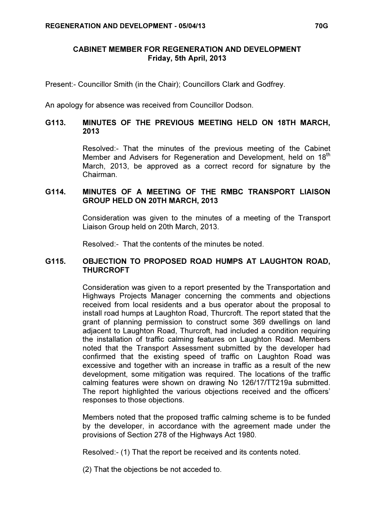#### CABINET MEMBER FOR REGENERATION AND DEVELOPMENT Friday, 5th April, 2013

Present:- Councillor Smith (in the Chair); Councillors Clark and Godfrey.

An apology for absence was received from Councillor Dodson.

# G113. MINUTES OF THE PREVIOUS MEETING HELD ON 18TH MARCH, 2013

 Resolved:- That the minutes of the previous meeting of the Cabinet Member and Advisers for Regeneration and Development, held on 18<sup>th</sup> March, 2013, be approved as a correct record for signature by the Chairman.

### G114. MINUTES OF A MEETING OF THE RMBC TRANSPORT LIAISON GROUP HELD ON 20TH MARCH, 2013

 Consideration was given to the minutes of a meeting of the Transport Liaison Group held on 20th March, 2013.

Resolved:- That the contents of the minutes be noted.

# G115. OBJECTION TO PROPOSED ROAD HUMPS AT LAUGHTON ROAD, **THURCROFT**

 Consideration was given to a report presented by the Transportation and Highways Projects Manager concerning the comments and objections received from local residents and a bus operator about the proposal to install road humps at Laughton Road, Thurcroft. The report stated that the grant of planning permission to construct some 369 dwellings on land adjacent to Laughton Road, Thurcroft, had included a condition requiring the installation of traffic calming features on Laughton Road. Members noted that the Transport Assessment submitted by the developer had confirmed that the existing speed of traffic on Laughton Road was excessive and together with an increase in traffic as a result of the new development, some mitigation was required. The locations of the traffic calming features were shown on drawing No 126/17/TT219a submitted. The report highlighted the various objections received and the officers' responses to those objections.

Members noted that the proposed traffic calming scheme is to be funded by the developer, in accordance with the agreement made under the provisions of Section 278 of the Highways Act 1980.

Resolved:- (1) That the report be received and its contents noted.

(2) That the objections be not acceded to.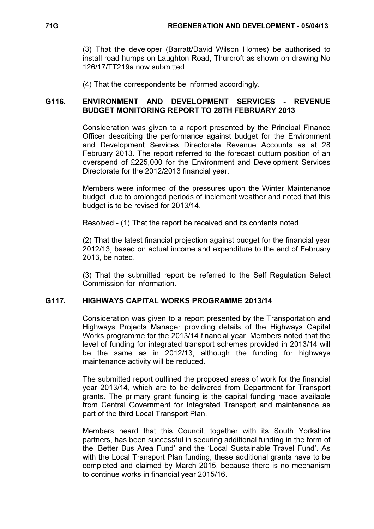(3) That the developer (Barratt/David Wilson Homes) be authorised to install road humps on Laughton Road, Thurcroft as shown on drawing No 126/17/TT219a now submitted.

(4) That the correspondents be informed accordingly.

## G116. ENVIRONMENT AND DEVELOPMENT SERVICES - REVENUE BUDGET MONITORING REPORT TO 28TH FEBRUARY 2013

 Consideration was given to a report presented by the Principal Finance Officer describing the performance against budget for the Environment and Development Services Directorate Revenue Accounts as at 28 February 2013. The report referred to the forecast outturn position of an overspend of £225,000 for the Environment and Development Services Directorate for the 2012/2013 financial year.

Members were informed of the pressures upon the Winter Maintenance budget, due to prolonged periods of inclement weather and noted that this budget is to be revised for 2013/14.

Resolved:- (1) That the report be received and its contents noted.

(2) That the latest financial projection against budget for the financial year 2012/13, based on actual income and expenditure to the end of February 2013, be noted.

(3) That the submitted report be referred to the Self Regulation Select Commission for information.

## G117. HIGHWAYS CAPITAL WORKS PROGRAMME 2013/14

 Consideration was given to a report presented by the Transportation and Highways Projects Manager providing details of the Highways Capital Works programme for the 2013/14 financial year. Members noted that the level of funding for integrated transport schemes provided in 2013/14 will be the same as in 2012/13, although the funding for highways maintenance activity will be reduced.

The submitted report outlined the proposed areas of work for the financial year 2013/14, which are to be delivered from Department for Transport grants. The primary grant funding is the capital funding made available from Central Government for Integrated Transport and maintenance as part of the third Local Transport Plan.

Members heard that this Council, together with its South Yorkshire partners, has been successful in securing additional funding in the form of the 'Better Bus Area Fund' and the 'Local Sustainable Travel Fund'. As with the Local Transport Plan funding, these additional grants have to be completed and claimed by March 2015, because there is no mechanism to continue works in financial year 2015/16.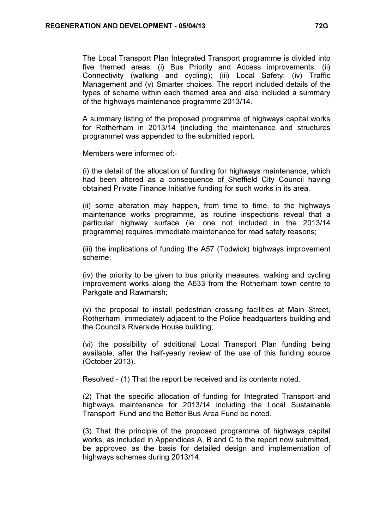The Local Transport Plan Integrated Transport programme is divided into five themed areas: (i) Bus Priority and Access improvements; (ii) Connectivity (walking and cycling); (iii) Local Safety; (iv) Traffic Management and (v) Smarter choices. The report included details of the types of scheme within each themed area and also included a summary of the highways maintenance programme 2013/14.

A summary listing of the proposed programme of highways capital works for Rotherham in 2013/14 (including the maintenance and structures programme) was appended to the submitted report.

Members were informed of:-

(i) the detail of the allocation of funding for highways maintenance, which had been altered as a consequence of Sheffield City Council having obtained Private Finance Initiative funding for such works in its area.

(ii) some alteration may happen, from time to time, to the highways maintenance works programme, as routine inspections reveal that a particular highway surface (ie: one not included in the 2013/14 programme) requires immediate maintenance for road safety reasons;

(iii) the implications of funding the A57 (Todwick) highways improvement scheme;

(iv) the priority to be given to bus priority measures, walking and cycling improvement works along the A633 from the Rotherham town centre to Parkgate and Rawmarsh;

(v) the proposal to install pedestrian crossing facilities at Main Street, Rotherham, immediately adjacent to the Police headquarters building and the Council's Riverside House building;

(vi) the possibility of additional Local Transport Plan funding being available, after the half-yearly review of the use of this funding source (October 2013).

Resolved:- (1) That the report be received and its contents noted.

(2) That the specific allocation of funding for Integrated Transport and highways maintenance for 2013/14 including the Local Sustainable Transport Fund and the Better Bus Area Fund be noted.

(3) That the principle of the proposed programme of highways capital works, as included in Appendices A, B and C to the report now submitted, be approved as the basis for detailed design and implementation of highways schemes during 2013/14.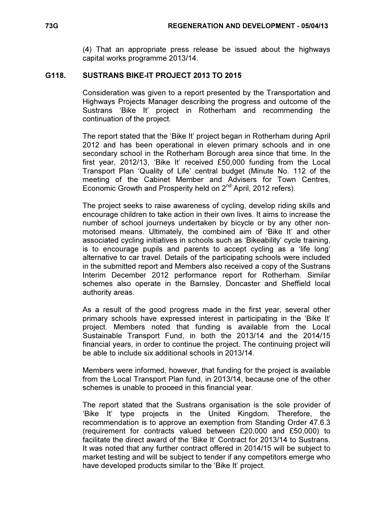(4) That an appropriate press release be issued about the highways capital works programme 2013/14.

### G118. SUSTRANS BIKE-IT PROJECT 2013 TO 2015

 Consideration was given to a report presented by the Transportation and Highways Projects Manager describing the progress and outcome of the Sustrans 'Bike It' project in Rotherham and recommending the continuation of the project.

The report stated that the 'Bike It' project began in Rotherham during April 2012 and has been operational in eleven primary schools and in one secondary school in the Rotherham Borough area since that time. In the first year, 2012/13, 'Bike It' received £50,000 funding from the Local Transport Plan 'Quality of Life' central budget (Minute No. 112 of the meeting of the Cabinet Member and Advisers for Town Centres, Economic Growth and Prosperity held on 2<sup>nd</sup> April, 2012 refers).

The project seeks to raise awareness of cycling, develop riding skills and encourage children to take action in their own lives. It aims to increase the number of school journeys undertaken by bicycle or by any other nonmotorised means. Ultimately, the combined aim of 'Bike It' and other associated cycling initiatives in schools such as 'Bikeability' cycle training, is to encourage pupils and parents to accept cycling as a 'life long' alternative to car travel. Details of the participating schools were included in the submitted report and Members also received a copy of the Sustrans Interim December 2012 performance report for Rotherham. Similar schemes also operate in the Barnsley, Doncaster and Sheffield local authority areas.

As a result of the good progress made in the first year, several other primary schools have expressed interest in participating in the 'Bike It' project. Members noted that funding is available from the Local Sustainable Transport Fund, in both the 2013/14 and the 2014/15 financial years, in order to continue the project. The continuing project will be able to include six additional schools in 2013/14.

Members were informed, however, that funding for the project is available from the Local Transport Plan fund, in 2013/14, because one of the other schemes is unable to proceed in this financial year.

The report stated that the Sustrans organisation is the sole provider of 'Bike It' type projects in the United Kingdom. Therefore, the recommendation is to approve an exemption from Standing Order 47.6.3 (requirement for contracts valued between £20,000 and £50,000) to facilitate the direct award of the 'Bike It' Contract for 2013/14 to Sustrans. It was noted that any further contract offered in 2014/15 will be subject to market testing and will be subject to tender if any competitors emerge who have developed products similar to the 'Bike It' project.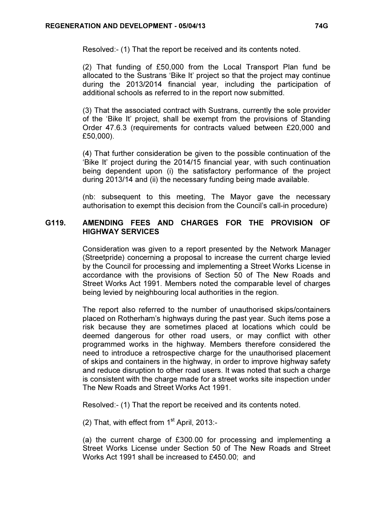Resolved:- (1) That the report be received and its contents noted.

(2) That funding of £50,000 from the Local Transport Plan fund be allocated to the Sustrans 'Bike It' project so that the project may continue during the 2013/2014 financial year, including the participation of additional schools as referred to in the report now submitted.

(3) That the associated contract with Sustrans, currently the sole provider of the 'Bike It' project, shall be exempt from the provisions of Standing Order 47.6.3 (requirements for contracts valued between £20,000 and £50,000).

(4) That further consideration be given to the possible continuation of the 'Bike It' project during the 2014/15 financial year, with such continuation being dependent upon (i) the satisfactory performance of the project during 2013/14 and (ii) the necessary funding being made available.

(nb: subsequent to this meeting, The Mayor gave the necessary authorisation to exempt this decision from the Council's call-in procedure)

### G119. AMENDING FEES AND CHARGES FOR THE PROVISION OF HIGHWAY SERVICES

 Consideration was given to a report presented by the Network Manager (Streetpride) concerning a proposal to increase the current charge levied by the Council for processing and implementing a Street Works License in accordance with the provisions of Section 50 of The New Roads and Street Works Act 1991. Members noted the comparable level of charges being levied by neighbouring local authorities in the region.

The report also referred to the number of unauthorised skips/containers placed on Rotherham's highways during the past year. Such items pose a risk because they are sometimes placed at locations which could be deemed dangerous for other road users, or may conflict with other programmed works in the highway. Members therefore considered the need to introduce a retrospective charge for the unauthorised placement of skips and containers in the highway, in order to improve highway safety and reduce disruption to other road users. It was noted that such a charge is consistent with the charge made for a street works site inspection under The New Roads and Street Works Act 1991.

Resolved:- (1) That the report be received and its contents noted.

(2) That, with effect from  $1<sup>st</sup>$  April, 2013:-

(a) the current charge of £300.00 for processing and implementing a Street Works License under Section 50 of The New Roads and Street Works Act 1991 shall be increased to £450.00; and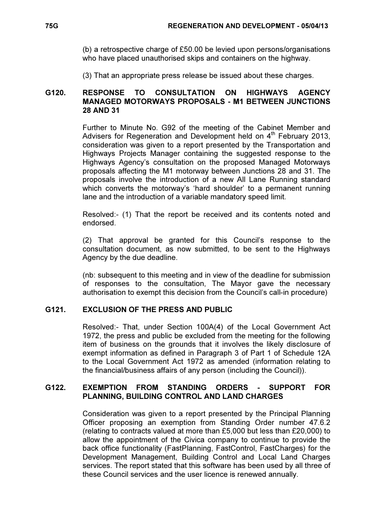(b) a retrospective charge of £50.00 be levied upon persons/organisations who have placed unauthorised skips and containers on the highway.

(3) That an appropriate press release be issued about these charges.

### G120. RESPONSE TO CONSULTATION ON HIGHWAYS AGENCY MANAGED MOTORWAYS PROPOSALS - M1 BETWEEN JUNCTIONS 28 AND 31

 Further to Minute No. G92 of the meeting of the Cabinet Member and Advisers for Regeneration and Development held on  $4<sup>th</sup>$  February 2013, consideration was given to a report presented by the Transportation and Highways Projects Manager containing the suggested response to the Highways Agency's consultation on the proposed Managed Motorways proposals affecting the M1 motorway between Junctions 28 and 31. The proposals involve the introduction of a new All Lane Running standard which converts the motorway's 'hard shoulder' to a permanent running lane and the introduction of a variable mandatory speed limit.

Resolved:- (1) That the report be received and its contents noted and endorsed.

(2) That approval be granted for this Council's response to the consultation document, as now submitted, to be sent to the Highways Agency by the due deadline.

(nb: subsequent to this meeting and in view of the deadline for submission of responses to the consultation, The Mayor gave the necessary authorisation to exempt this decision from the Council's call-in procedure)

## G121. EXCLUSION OF THE PRESS AND PUBLIC

 Resolved:- That, under Section 100A(4) of the Local Government Act 1972, the press and public be excluded from the meeting for the following item of business on the grounds that it involves the likely disclosure of exempt information as defined in Paragraph 3 of Part 1 of Schedule 12A to the Local Government Act 1972 as amended (information relating to the financial/business affairs of any person (including the Council)).

## G122. EXEMPTION FROM STANDING ORDERS - SUPPORT FOR PLANNING, BUILDING CONTROL AND LAND CHARGES

 Consideration was given to a report presented by the Principal Planning Officer proposing an exemption from Standing Order number 47.6.2 (relating to contracts valued at more than £5,000 but less than £20,000) to allow the appointment of the Civica company to continue to provide the back office functionality (FastPlanning, FastControl, FastCharges) for the Development Management, Building Control and Local Land Charges services. The report stated that this software has been used by all three of these Council services and the user licence is renewed annually.